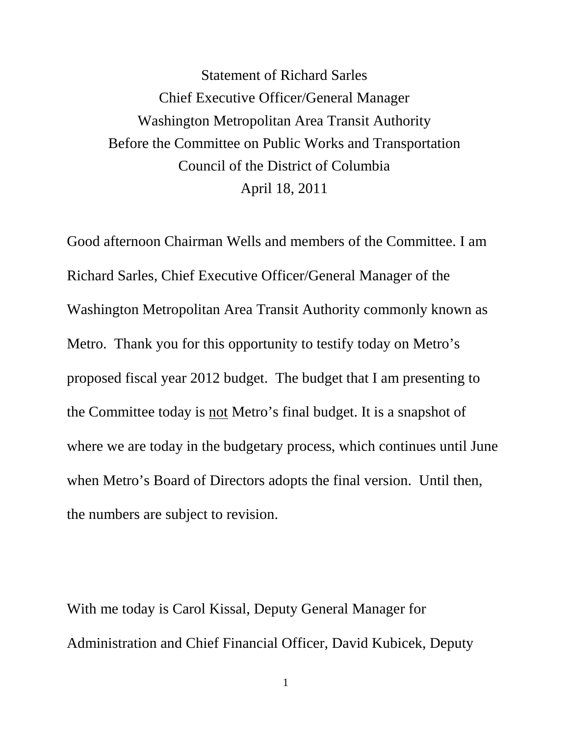Statement of Richard Sarles Chief Executive Officer/General Manager Washington Metropolitan Area Transit Authority Before the Committee on Public Works and Transportation Council of the District of Columbia April 18, 2011

Good afternoon Chairman Wells and members of the Committee. I am Richard Sarles, Chief Executive Officer/General Manager of the Washington Metropolitan Area Transit Authority commonly known as Metro. Thank you for this opportunity to testify today on Metro's proposed fiscal year 2012 budget. The budget that I am presenting to the Committee today is not Metro's final budget. It is a snapshot of where we are today in the budgetary process, which continues until June when Metro's Board of Directors adopts the final version. Until then, the numbers are subject to revision.

With me today is Carol Kissal, Deputy General Manager for Administration and Chief Financial Officer, David Kubicek, Deputy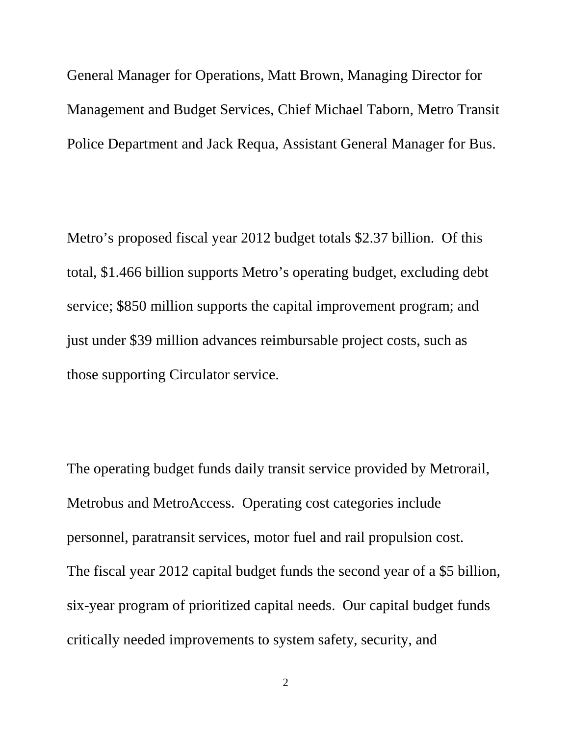General Manager for Operations, Matt Brown, Managing Director for Management and Budget Services, Chief Michael Taborn, Metro Transit Police Department and Jack Requa, Assistant General Manager for Bus.

Metro's proposed fiscal year 2012 budget totals \$2.37 billion. Of this total, \$1.466 billion supports Metro's operating budget, excluding debt service; \$850 million supports the capital improvement program; and just under \$39 million advances reimbursable project costs, such as those supporting Circulator service.

The operating budget funds daily transit service provided by Metrorail, Metrobus and MetroAccess. Operating cost categories include personnel, paratransit services, motor fuel and rail propulsion cost. The fiscal year 2012 capital budget funds the second year of a \$5 billion, six-year program of prioritized capital needs. Our capital budget funds critically needed improvements to system safety, security, and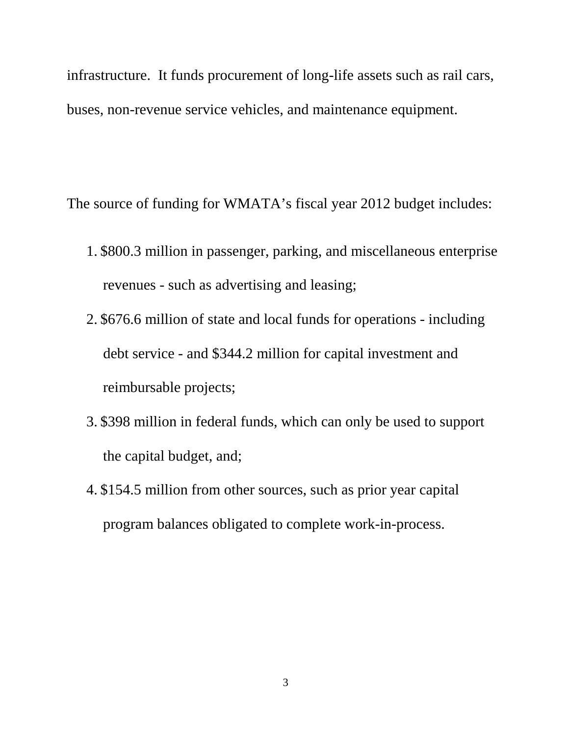infrastructure. It funds procurement of long-life assets such as rail cars, buses, non-revenue service vehicles, and maintenance equipment.

The source of funding for WMATA's fiscal year 2012 budget includes:

- 1. \$800.3 million in passenger, parking, and miscellaneous enterprise revenues - such as advertising and leasing;
- 2. \$676.6 million of state and local funds for operations including debt service - and \$344.2 million for capital investment and reimbursable projects;
- 3. \$398 million in federal funds, which can only be used to support the capital budget, and;
- 4. \$154.5 million from other sources, such as prior year capital program balances obligated to complete work-in-process.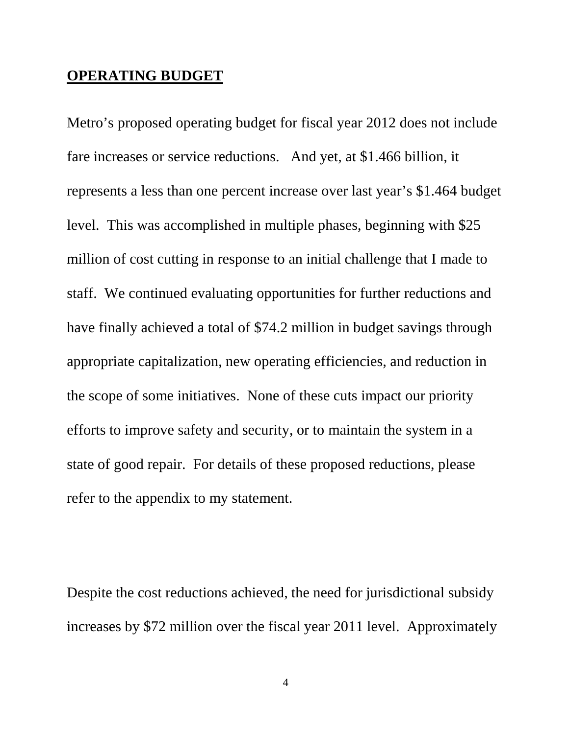## **OPERATING BUDGET**

Metro's proposed operating budget for fiscal year 2012 does not include fare increases or service reductions. And yet, at \$1.466 billion, it represents a less than one percent increase over last year's \$1.464 budget level. This was accomplished in multiple phases, beginning with \$25 million of cost cutting in response to an initial challenge that I made to staff. We continued evaluating opportunities for further reductions and have finally achieved a total of \$74.2 million in budget savings through appropriate capitalization, new operating efficiencies, and reduction in the scope of some initiatives. None of these cuts impact our priority efforts to improve safety and security, or to maintain the system in a state of good repair. For details of these proposed reductions, please refer to the appendix to my statement.

Despite the cost reductions achieved, the need for jurisdictional subsidy increases by \$72 million over the fiscal year 2011 level. Approximately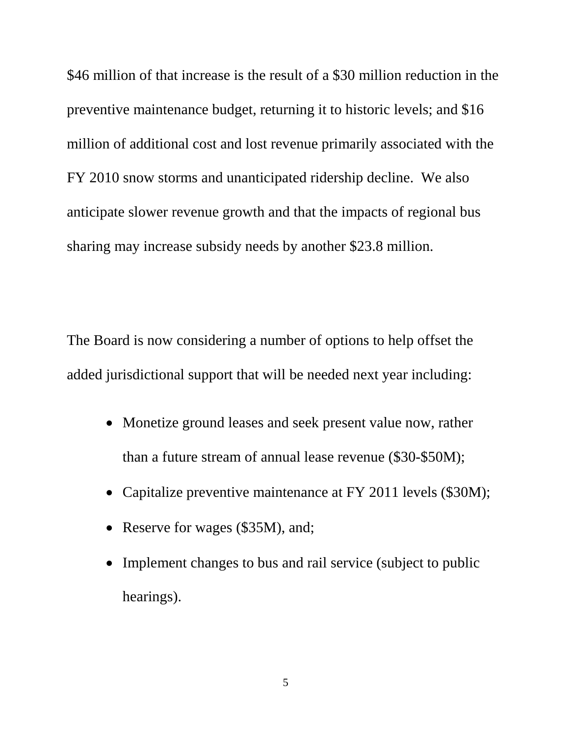\$46 million of that increase is the result of a \$30 million reduction in the preventive maintenance budget, returning it to historic levels; and \$16 million of additional cost and lost revenue primarily associated with the FY 2010 snow storms and unanticipated ridership decline. We also anticipate slower revenue growth and that the impacts of regional bus sharing may increase subsidy needs by another \$23.8 million.

The Board is now considering a number of options to help offset the added jurisdictional support that will be needed next year including:

- Monetize ground leases and seek present value now, rather than a future stream of annual lease revenue (\$30-\$50M);
- Capitalize preventive maintenance at FY 2011 levels (\$30M);
- Reserve for wages (\$35M), and;
- Implement changes to bus and rail service (subject to public hearings).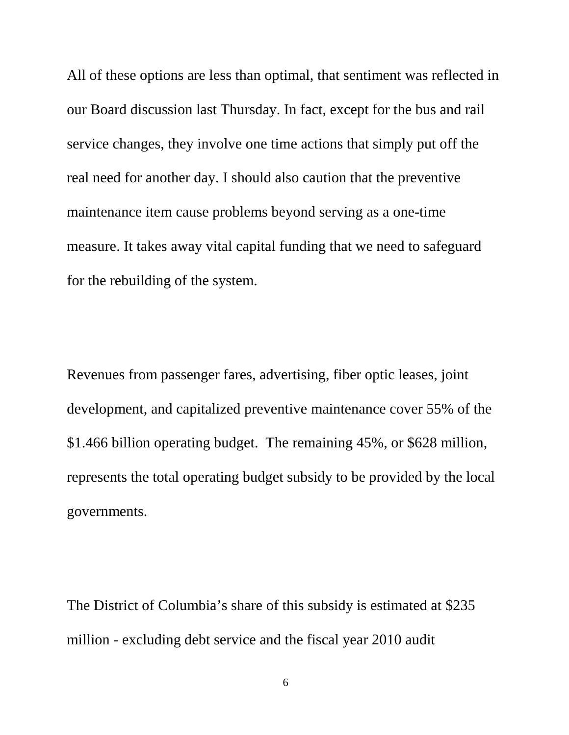All of these options are less than optimal, that sentiment was reflected in our Board discussion last Thursday. In fact, except for the bus and rail service changes, they involve one time actions that simply put off the real need for another day. I should also caution that the preventive maintenance item cause problems beyond serving as a one-time measure. It takes away vital capital funding that we need to safeguard for the rebuilding of the system.

Revenues from passenger fares, advertising, fiber optic leases, joint development, and capitalized preventive maintenance cover 55% of the \$1.466 billion operating budget. The remaining 45%, or \$628 million, represents the total operating budget subsidy to be provided by the local governments.

The District of Columbia's share of this subsidy is estimated at \$235 million - excluding debt service and the fiscal year 2010 audit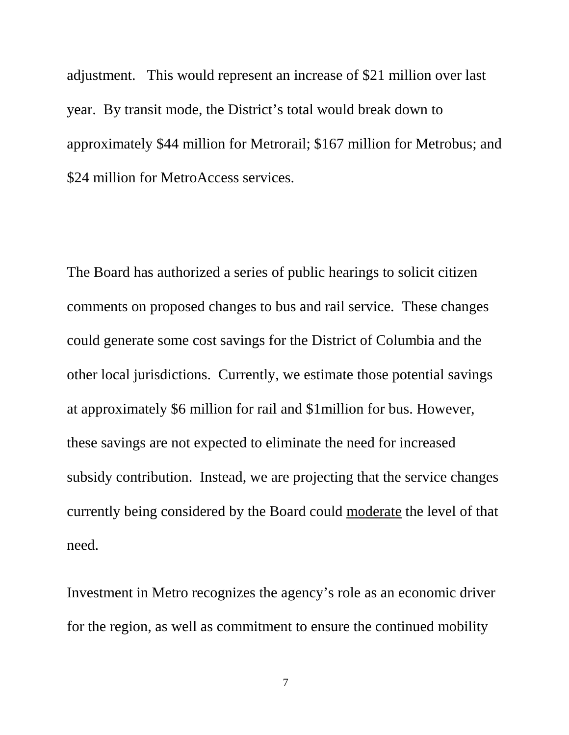adjustment. This would represent an increase of \$21 million over last year. By transit mode, the District's total would break down to approximately \$44 million for Metrorail; \$167 million for Metrobus; and \$24 million for MetroAccess services.

The Board has authorized a series of public hearings to solicit citizen comments on proposed changes to bus and rail service. These changes could generate some cost savings for the District of Columbia and the other local jurisdictions. Currently, we estimate those potential savings at approximately \$6 million for rail and \$1million for bus. However, these savings are not expected to eliminate the need for increased subsidy contribution. Instead, we are projecting that the service changes currently being considered by the Board could moderate the level of that need.

Investment in Metro recognizes the agency's role as an economic driver for the region, as well as commitment to ensure the continued mobility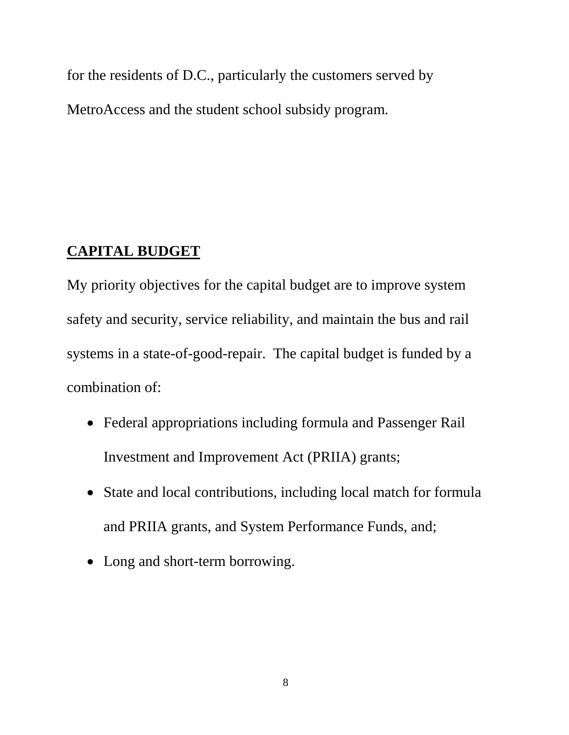for the residents of D.C., particularly the customers served by MetroAccess and the student school subsidy program.

## **CAPITAL BUDGET**

My priority objectives for the capital budget are to improve system safety and security, service reliability, and maintain the bus and rail systems in a state-of-good-repair. The capital budget is funded by a combination of:

- Federal appropriations including formula and Passenger Rail Investment and Improvement Act (PRIIA) grants;
- State and local contributions, including local match for formula and PRIIA grants, and System Performance Funds, and;
- Long and short-term borrowing.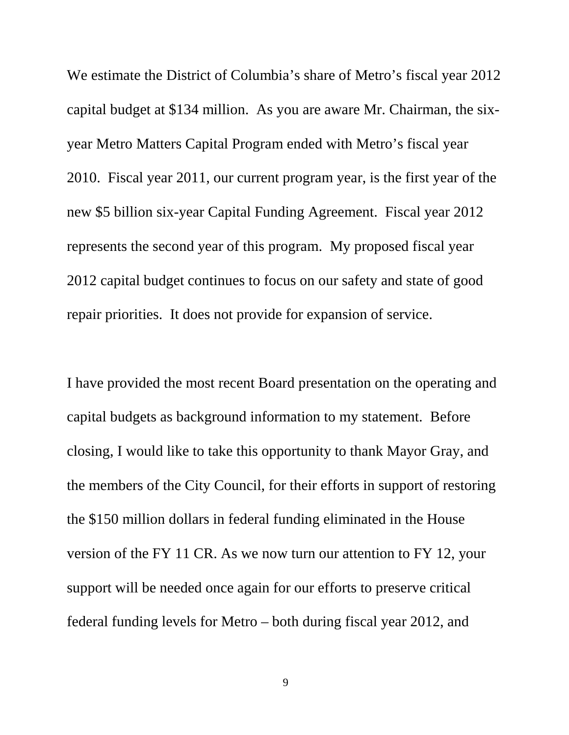We estimate the District of Columbia's share of Metro's fiscal year 2012 capital budget at \$134 million. As you are aware Mr. Chairman, the sixyear Metro Matters Capital Program ended with Metro's fiscal year 2010. Fiscal year 2011, our current program year, is the first year of the new \$5 billion six-year Capital Funding Agreement. Fiscal year 2012 represents the second year of this program. My proposed fiscal year 2012 capital budget continues to focus on our safety and state of good repair priorities. It does not provide for expansion of service.

I have provided the most recent Board presentation on the operating and capital budgets as background information to my statement. Before closing, I would like to take this opportunity to thank Mayor Gray, and the members of the City Council, for their efforts in support of restoring the \$150 million dollars in federal funding eliminated in the House version of the FY 11 CR. As we now turn our attention to FY 12, your support will be needed once again for our efforts to preserve critical federal funding levels for Metro – both during fiscal year 2012, and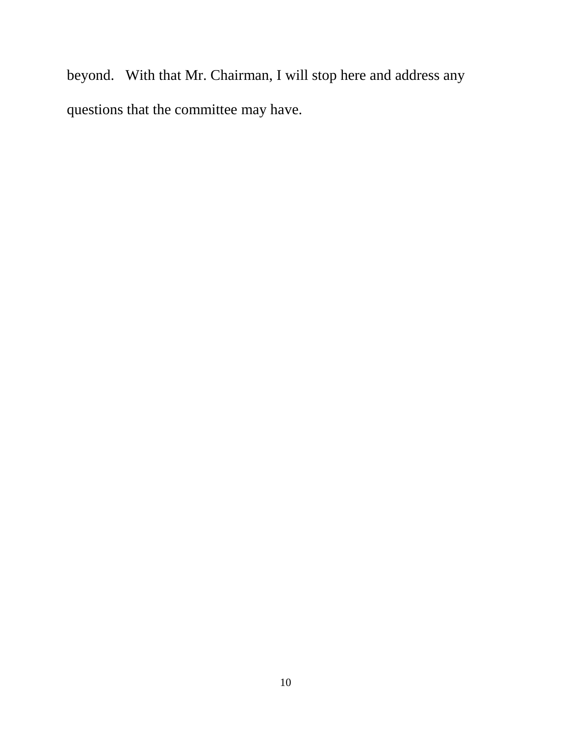beyond. With that Mr. Chairman, I will stop here and address any questions that the committee may have.